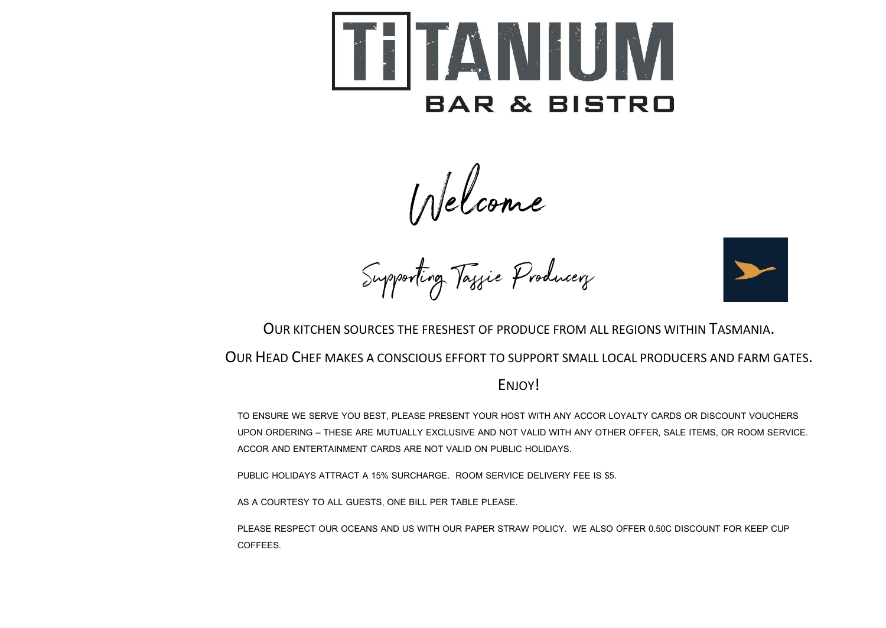

Welcome<br>Supporting Taggie Producery



OUR KITCHEN SOURCES THE FRESHEST OF PRODUCE FROM ALL REGIONS WITHIN TASMANIA.

OUR HEAD CHEF MAKES A CONSCIOUS EFFORT TO SUPPORT SMALL LOCAL PRODUCERS AND FARM GATES.

ENJOY!

TO ENSURE WE SERVE YOU BEST, PLEASE PRESENT YOUR HOST WITH ANY ACCOR LOYALTY CARDS OR DISCOUNT VOUCHERS UPON ORDERING – THESE ARE MUTUALLY EXCLUSIVE AND NOT VALID WITH ANY OTHER OFFER, SALE ITEMS, OR ROOM SERVICE. ACCOR AND ENTERTAINMENT CARDS ARE NOT VALID ON PUBLIC HOLIDAYS.

PUBLIC HOLIDAYS ATTRACT A 15% SURCHARGE. ROOM SERVICE DELIVERY FEE IS \$5.

AS A COURTESY TO ALL GUESTS, ONE BILL PER TABLE PLEASE.

PLEASE RESPECT OUR OCEANS AND US WITH OUR PAPER STRAW POLICY. WE ALSO OFFER 0.50C DISCOUNT FOR KEEP CUP COFFEES.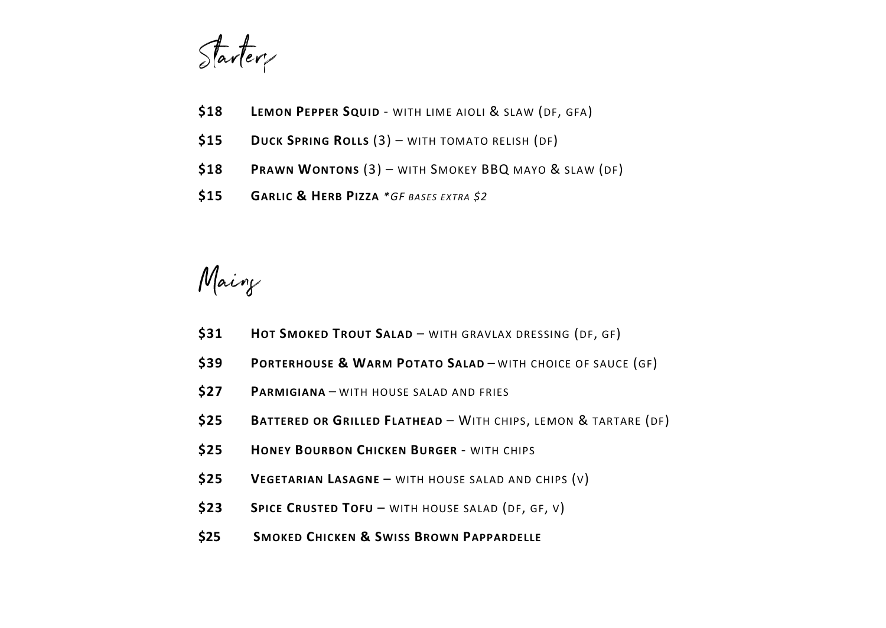Starter

- **\$18 LEMON PEPPER SQUID** WITH LIME AIOLI & SLAW (DF, GFA)
- **\$15 DUCK SPRING ROLLS** (3) WITH TOMATO RELISH (DF)
- **\$18 PRAWN WONTONS** (3) WITH SMOKEY BBQ MAYO & SLAW (DF)
- **\$15 GARLIC & HERB PIZZA** *\*GF BASES EXTRA \$2*

Mairy

- **\$31 HOT SMOKED TROUT SALAD** WITH GRAVLAX DRESSING (DF, GF)
- **\$39 PORTERHOUSE & WARM POTATO SALAD** WITH CHOICE OF SAUCE (GF)
- **\$27 PARMIGIANA** WITH HOUSE SALAD AND FRIES
- **\$25 BATTERED OR GRILLED FLATHEAD** WITH CHIPS, LEMON & TARTARE (DF)
- **\$25 HONEY BOURBON CHICKEN BURGER** WITH CHIPS
- **\$25 VEGETARIAN LASAGNE** WITH HOUSE SALAD AND CHIPS (V)
- **\$23 SPICE CRUSTED TOFU**  WITH HOUSE SALAD (DF, GF, V)
- **\$25 SMOKED CHICKEN & SWISS BROWN PAPPARDELLE**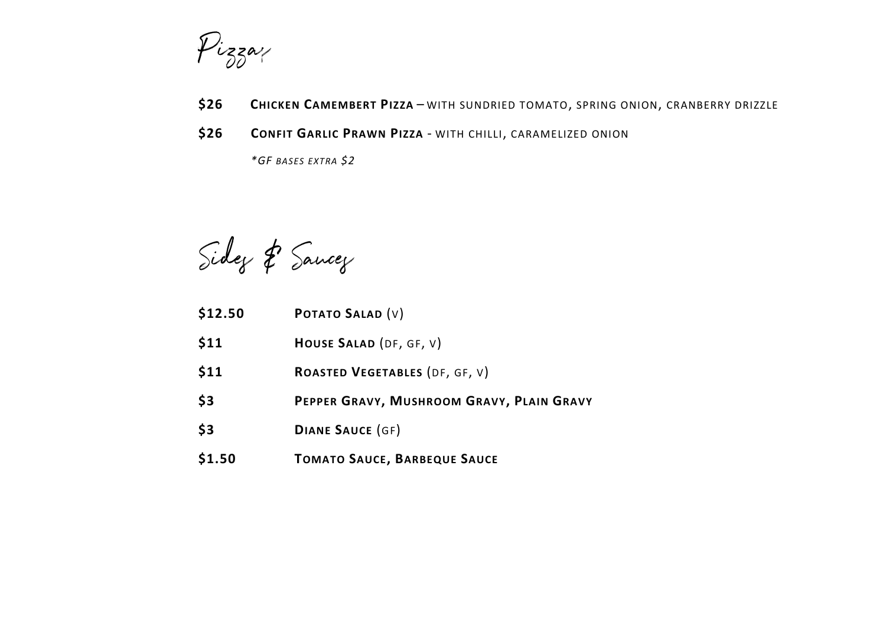

- **\$26 CHICKEN CAMEMBERT PIZZA** WITH SUNDRIED TOMATO, SPRING ONION, CRANBERRY DRIZZLE
- **\$26 CONFIT GARLIC PRAWN PIZZA**  WITH CHILLI, CARAMELIZED ONION

*\*GF BASES EXTRA \$2*

Sidez & Sancez

- **\$12.50 POTATO SALAD** (V)
- **\$11 HOUSE SALAD** (DF, GF, V)
- **\$11 ROASTED VEGETABLES** (DF, GF, V)
- **\$3 PEPPER GRAVY, MUSHROOM GRAVY, PLAIN GRAVY**
- **\$3 DIANE SAUCE** (GF)
- **\$1.50 TOMATO SAUCE, BARBEQUE SAUCE**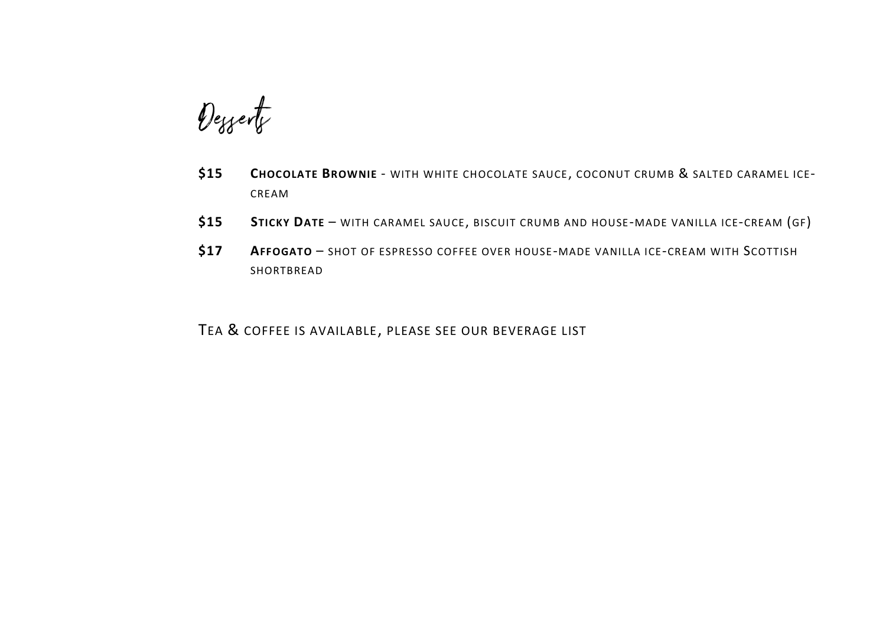Desserts

- **\$15 CHOCOLATE BROWNIE** WITH WHITE CHOCOLATE SAUCE, COCONUT CRUMB & SALTED CARAMEL ICE-CREAM
- **\$15 STICKY DATE** WITH CARAMEL SAUCE, BISCUIT CRUMB AND HOUSE-MADE VANILLA ICE-CREAM (GF)
- **\$17 AFFOGATO** SHOT OF ESPRESSO COFFEE OVER HOUSE-MADE VANILLA ICE-CREAM WITH SCOTTISH SHORTBREAD

TEA & COFFEE IS AVAILABLE, PLEASE SEE OUR BEVERAGE LIST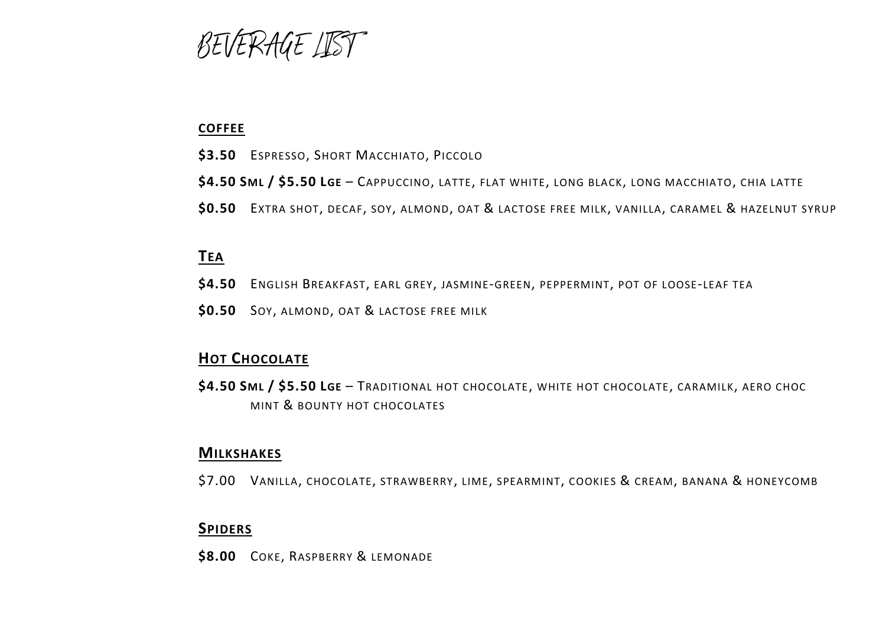BEVERAGE LIST

# **COFFEE**

- **\$3.50** ESPRESSO, SHORT MACCHIATO, PICCOLO
- **\$4.50 SML / \$5.50 LGE**  CAPPUCCINO, LATTE, FLAT WHITE, LONG BLACK, LONG MACCHIATO, CHIA LATTE
- **\$0.50** EXTRA SHOT, DECAF, SOY, ALMOND, OAT & LACTOSE FREE MILK, VANILLA, CARAMEL & HAZELNUT SYRUP

# **TEA**

- **\$4.50** ENGLISH BREAKFAST, EARL GREY, JASMINE-GREEN, PEPPERMINT, POT OF LOOSE-LEAF TEA
- **\$0.50** SOY, ALMOND, OAT & LACTOSE FREE MILK

# **HOT CHOCOLATE**

**\$4.50 SML / \$5.50 LGE** – TRADITIONAL HOT CHOCOLATE, WHITE HOT CHOCOLATE, CARAMILK, AERO CHOC MINT & BOUNTY HOT CHOCOLATES

# **MILKSHAKES**

\$7.00 VANILLA, CHOCOLATE, STRAWBERRY, LIME, SPEARMINT, COOKIES & CREAM, BANANA & HONEYCOMB

# **SPIDERS**

**\$8.00** COKE, RASPBERRY & LEMONADE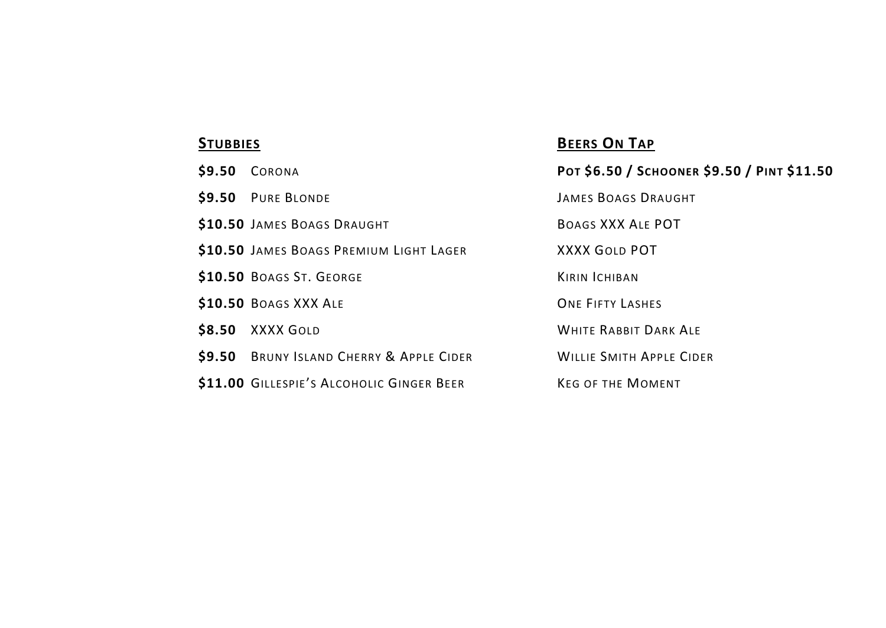| \$9.50 | CORONA                                    | Рот \$6.50 / SCHOONER \$9.50 / РІNТ \$11.50 |
|--------|-------------------------------------------|---------------------------------------------|
|        | \$9.50 PURE BLONDE                        | <b>JAMES BOAGS DRAUGHT</b>                  |
|        | \$10.50 JAMES BOAGS DRAUGHT               | BOAGS XXX ALE POT                           |
|        | \$10.50 JAMES BOAGS PREMIUM LIGHT LAGER   | <b>XXXX GOLD POT</b>                        |
|        | \$10.50 BOAGS ST. GEORGE                  | <b>KIRIN ICHIBAN</b>                        |
|        | \$10.50 BOAGS XXX ALE                     | <b>ONE FIFTY LASHES</b>                     |
| \$8.50 | XXXX GOLD                                 | <b>WHITE RABBIT DARK ALE</b>                |
|        | \$9.50 BRUNY ISLAND CHERRY & APPLE CIDER  | <b>WILLIE SMITH APPLE CIDER</b>             |
|        | \$11.00 GILLESPIE'S ALCOHOLIC GINGER BEER | <b>KEG OF THE MOMENT</b>                    |
|        |                                           |                                             |

# **BEERS ON TAP**

| POT \$6.50 / SCHOONER \$9.50 / PINT \$11.50 |
|---------------------------------------------|
| JAMES BOAGS DRAUGHT                         |
| BOAGS XXX ALE POT                           |
| XXXX GOLD POT                               |
| <b>KIRIN ICHIBAN</b>                        |
| <b>ONF FIFTY LASHES</b>                     |
| WHITE RABBIT DARK ALF                       |
| <b>WILLIE SMITH APPLE CIDER</b>             |
| KEG OF THE MOMENT                           |
|                                             |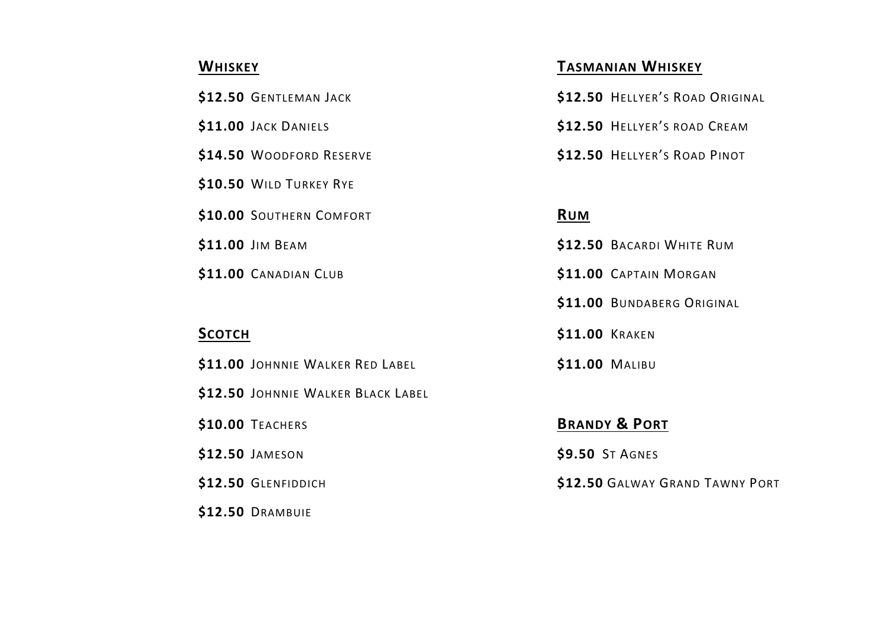| \$12.50 GENTLEMAN JACK   |            | \$12.50 HELLYER'S ROAD ORIGINAL |
|--------------------------|------------|---------------------------------|
| \$11.00 JACK DANIELS     |            | \$12.50 HELLYER'S ROAD CREAM    |
| \$14.50 WOODFORD RESERVE |            | \$12.50 HELLYER'S ROAD PINOT    |
| \$10.50 WILD TURKEY RYE  |            |                                 |
| \$10.00 SOUTHERN COMFORT | <b>RUM</b> |                                 |
| \$11.00 JIM BEAM         |            | \$12.50 BACARDI WHITE RUM       |
| \$11.00 CANADIAN CLUB    |            | \$11.00 CAPTAIN MORGAN          |

**\$11.00** JOHNNIE WALKER RED LABEL **\$11.00** MALIBU **\$12.50** JOHNNIE WALKER BLACK LABEL **\$10.00** TEACHERS **BRANDY & PORT \$12.50** JAMESON **\$9.50** ST AGNES **\$12.50** GLENFIDDICH **\$12.50** GALWAY GRAND TAWNY PORT **\$12.50** DRAMBUIE

# **WHISKEY TASMANIAN WHISKEY**

| \$12.50 HELLYER'S ROAD ORIGINAL |
|---------------------------------|
| \$12.50 HELLYER'S ROAD CREAM    |
| \$12.50 HELLYER'S ROAD PINOT    |

 $$12.50$  BACARDI WHITE RUM  $$11.00$  CAPTAIN MORGAN \$11.00 BUNDABERG ORIGINAL **SCOTCH** \$11.00 KRAKEN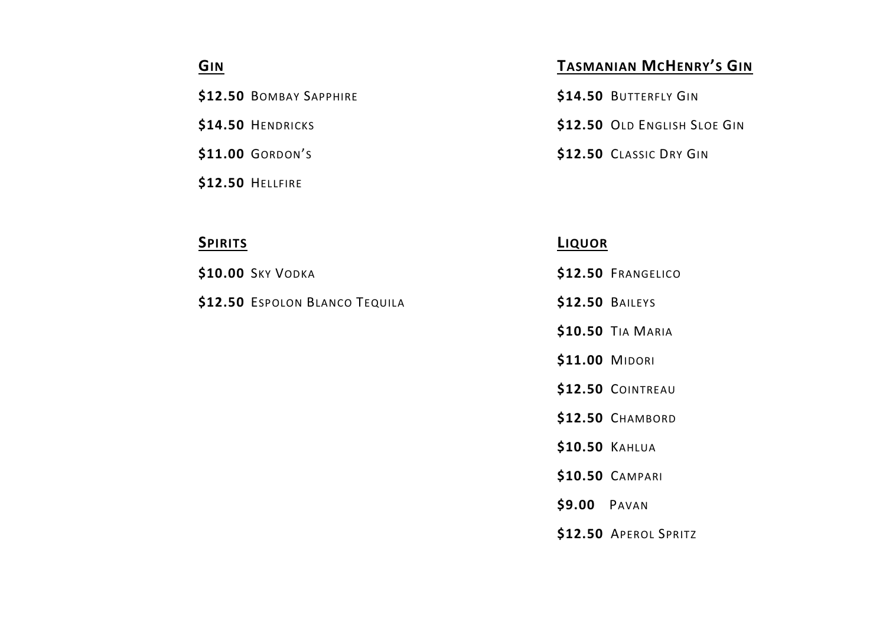$$12.50$  BOMBAY SAPPHIRE

**\$14.50 HENDRICKS** 

 $$11.00$  GORDON'S

**\$12.50** HELLFIRE

**\$12.50** ESPOLON BLANCO TEQUILA **\$12.50** BAILEYS

# **C**<sub>IN</sub> **TASMANIAN <b>MCHENRY'S** GIN

| \$14.50 BUTTERFLY GIN        |
|------------------------------|
| \$12.50 OLD ENGLISH SLOE GIN |
| \$12.50 CLASSIC DRY GIN      |

# **SPIRITS LIQUOR**

- **\$10.00** SKY VODKA **\$12.50** FRANGELICO
	-
	- **\$10.50** TIA MARIA
	- **\$11.00** MIDORI
	- **\$12.50** COINTREAU
	- **\$12.50** CHAMBORD
	- **\$10.50** KAHLUA
	- **\$10.50** CAMPARI
	- **\$9.00** PAVAN
	- **\$12.50** APEROL SPRITZ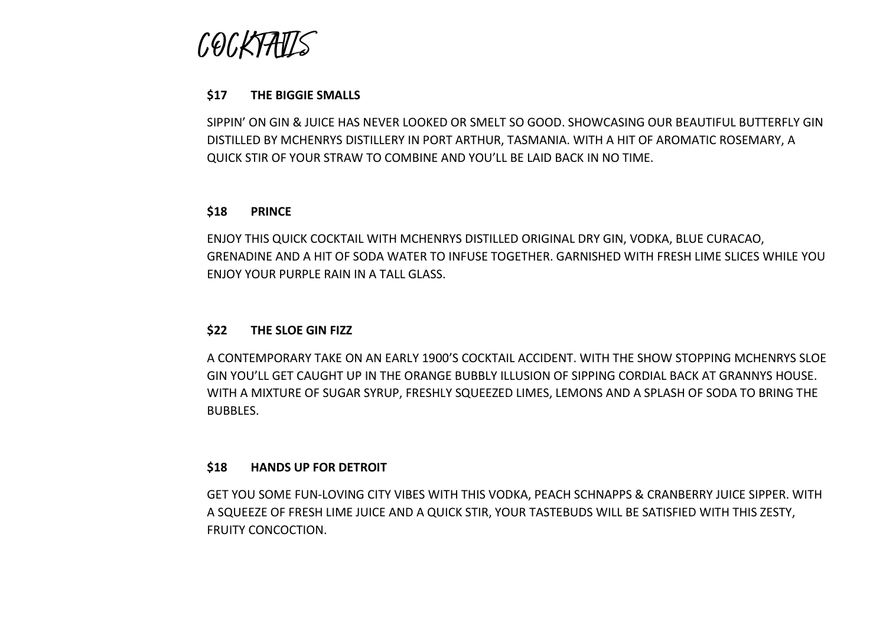*(,*0(,}

### **\$17 THE BIGGIE SMALLS**

SIPPIN' ON GIN & JUICE HAS NEVER LOOKED OR SMELT SO GOOD. SHOWCASING OUR BEAUTIFUL BUTTERFLY GIN DISTILLED BY MCHENRYS DISTILLERY IN PORT ARTHUR, TASMANIA. WITH A HIT OF AROMATIC ROSEMARY, A QUICK STIR OF YOUR STRAW TO COMBINE AND YOU'LL BE LAID BACK IN NO TIME.

### **\$18 PRINCE**

ENJOY THIS QUICK COCKTAIL WITH MCHENRYS DISTILLED ORIGINAL DRY GIN, VODKA, BLUE CURACAO, GRENADINE AND A HIT OF SODA WATER TO INFUSE TOGETHER. GARNISHED WITH FRESH LIME SLICES WHILE YOU ENJOY YOUR PURPLE RAIN IN A TALL GLASS.

### **\$22 THE SLOE GIN FIZZ**

A CONTEMPORARY TAKE ON AN EARLY 1900'S COCKTAIL ACCIDENT. WITH THE SHOW STOPPING MCHENRYS SLOE GIN YOU'LL GET CAUGHT UP IN THE ORANGE BUBBLY ILLUSION OF SIPPING CORDIAL BACK AT GRANNYS HOUSE. WITH A MIXTURE OF SUGAR SYRUP, FRESHLY SQUEEZED LIMES, LEMONS AND A SPLASH OF SODA TO BRING THE BUBBLES.

### **\$18 HANDS UP FOR DETROIT**

GET YOU SOME FUN-LOVING CITY VIBES WITH THIS VODKA, PEACH SCHNAPPS & CRANBERRY JUICE SIPPER. WITH A SQUEEZE OF FRESH LIME JUICE AND A QUICK STIR, YOUR TASTEBUDS WILL BE SATISFIED WITH THIS ZESTY, FRUITY CONCOCTION.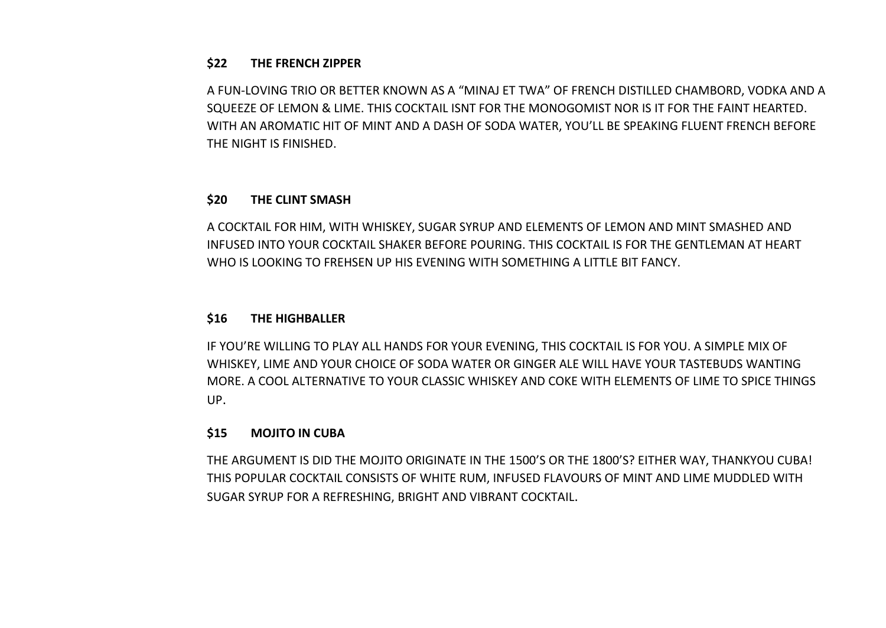## **\$22 THE FRENCH ZIPPER**

A FUN-LOVING TRIO OR BETTER KNOWN AS A "MINAJ ET TWA" OF FRENCH DISTILLED CHAMBORD, VODKA AND A SQUEEZE OF LEMON & LIME. THIS COCKTAIL ISNT FOR THE MONOGOMIST NOR IS IT FOR THE FAINT HEARTED. WITH AN AROMATIC HIT OF MINT AND A DASH OF SODA WATER, YOU'LL BE SPEAKING FLUENT FRENCH BEFORE THE NIGHT IS FINISHED.

# **\$20 THE CLINT SMASH**

A COCKTAIL FOR HIM, WITH WHISKEY, SUGAR SYRUP AND ELEMENTS OF LEMON AND MINT SMASHED AND INFUSED INTO YOUR COCKTAIL SHAKER BEFORE POURING. THIS COCKTAIL IS FOR THE GENTLEMAN AT HEART WHO IS LOOKING TO FREHSEN UP HIS EVENING WITH SOMETHING A LITTLE BIT FANCY.

# **\$16 THE HIGHBALLER**

IF YOU'RE WILLING TO PLAY ALL HANDS FOR YOUR EVENING, THIS COCKTAIL IS FOR YOU. A SIMPLE MIX OF WHISKEY, LIME AND YOUR CHOICE OF SODA WATER OR GINGER ALE WILL HAVE YOUR TASTEBUDS WANTING MORE. A COOL ALTERNATIVE TO YOUR CLASSIC WHISKEY AND COKE WITH ELEMENTS OF LIME TO SPICE THINGS UP.

# **\$15 MOJITO IN CUBA**

THE ARGUMENT IS DID THE MOJITO ORIGINATE IN THE 1500'S OR THE 1800'S? EITHER WAY, THANKYOU CUBA! THIS POPULAR COCKTAIL CONSISTS OF WHITE RUM, INFUSED FLAVOURS OF MINT AND LIME MUDDLED WITH SUGAR SYRUP FOR A REFRESHING, BRIGHT AND VIBRANT COCKTAIL.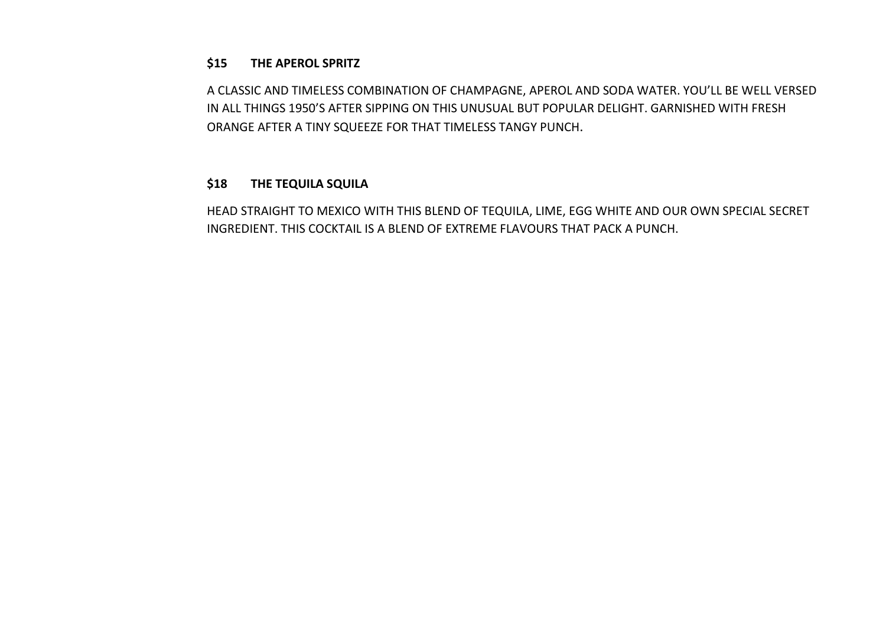## **\$15 THE APEROL SPRITZ**

A CLASSIC AND TIMELESS COMBINATION OF CHAMPAGNE, APEROL AND SODA WATER. YOU'LL BE WELL VERSED IN ALL THINGS 1950'S AFTER SIPPING ON THIS UNUSUAL BUT POPULAR DELIGHT. GARNISHED WITH FRESH ORANGE AFTER A TINY SQUEEZE FOR THAT TIMELESS TANGY PUNCH.

## **\$18 THE TEQUILA SQUILA**

HEAD STRAIGHT TO MEXICO WITH THIS BLEND OF TEQUILA, LIME, EGG WHITE AND OUR OWN SPECIAL SECRET INGREDIENT. THIS COCKTAIL IS A BLEND OF EXTREME FLAVOURS THAT PACK A PUNCH.